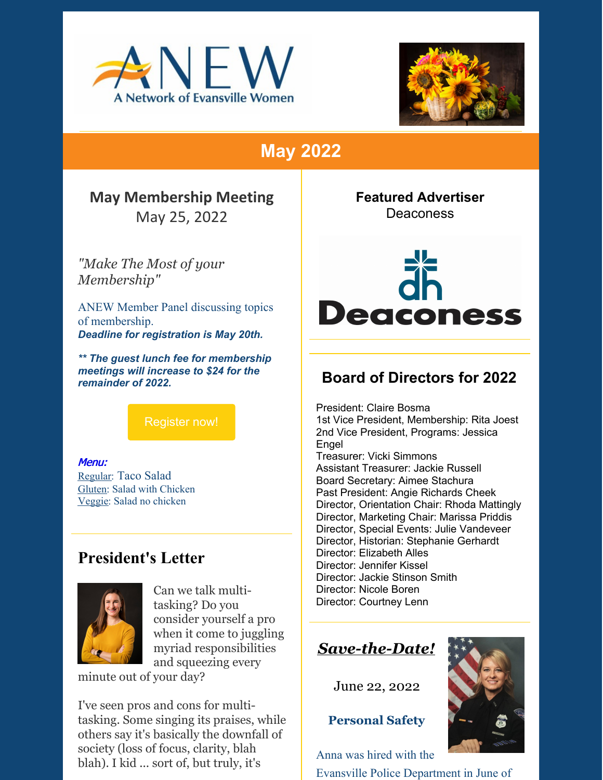



# **May 2022**

#### **May Membership Meeting** May 25, 2022

*"Make The Most of your*

*Membership"*

ANEW Member Panel discussing topics of membership. *Deadline for registration is May 20th.*

*\*\* The guest lunch fee for membership meetings will increase to \$24 for the remainder of 2022.*

[Register](https://evansvilleanew.org/events/make-most-your-membership) now!

Menu: Regular: Taco Salad Gluten: Salad with Chicken Veggie: Salad no chicken

#### **President's Letter**



Can we talk multitasking? Do you consider yourself a pro when it come to juggling myriad responsibilities and squeezing every

minute out of your day?

I've seen pros and cons for multitasking. Some singing its praises, while others say it's basically the downfall of society (loss of focus, clarity, blah blah). I kid ... sort of, but truly, it's

**Featured Advertiser Deaconess** 



### **Board of Directors for 2022**

President: Claire Bosma 1st Vice President, Membership: Rita Joest 2nd Vice President, Programs: Jessica Engel Treasurer: Vicki Simmons Assistant Treasurer: Jackie Russell Board Secretary: Aimee Stachura Past President: Angie Richards Cheek Director, Orientation Chair: Rhoda Mattingly Director, Marketing Chair: Marissa Priddis Director, Special Events: Julie Vandeveer Director, Historian: Stephanie Gerhardt Director: Elizabeth Alles Director: Jennifer Kissel Director: Jackie Stinson Smith Director: Nicole Boren Director: Courtney Lenn

# *Save-the-Date!*

June 22, 2022

**Personal Safety**

Anna was hired with the

Evansville Police Department in June of

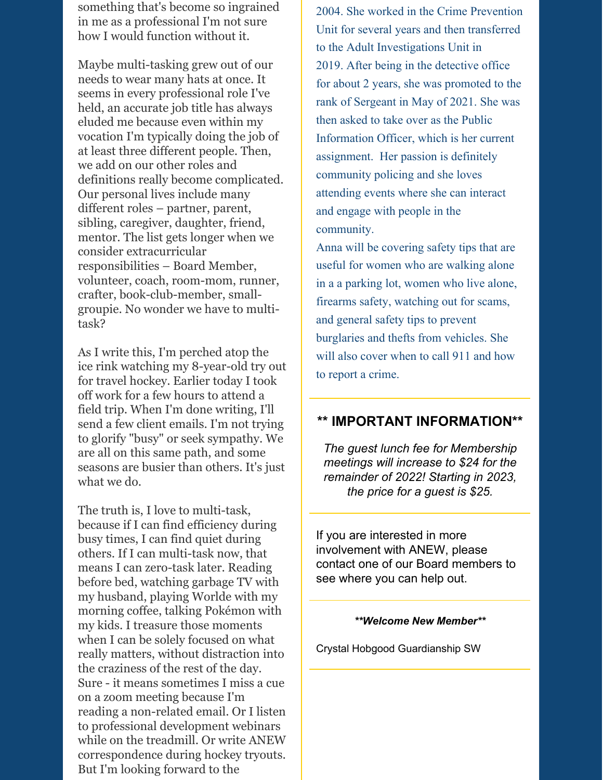something that's become so ingrained in me as a professional I'm not sure how I would function without it.

Maybe multi-tasking grew out of our needs to wear many hats at once. It seems in every professional role I've held, an accurate job title has always eluded me because even within my vocation I'm typically doing the job of at least three different people. Then, we add on our other roles and definitions really become complicated. Our personal lives include many different roles – partner, parent, sibling, caregiver, daughter, friend, mentor. The list gets longer when we consider extracurricular responsibilities – Board Member, volunteer, coach, room-mom, runner, crafter, book-club-member, smallgroupie. No wonder we have to multitask?

As I write this, I'm perched atop the ice rink watching my 8-year-old try out for travel hockey. Earlier today I took off work for a few hours to attend a field trip. When I'm done writing, I'll send a few client emails. I'm not trying to glorify "busy" or seek sympathy. We are all on this same path, and some seasons are busier than others. It's just what we do.

The truth is, I love to multi-task, because if I can find efficiency during busy times, I can find quiet during others. If I can multi-task now, that means I can zero-task later. Reading before bed, watching garbage TV with my husband, playing Worlde with my morning coffee, talking Pokémon with my kids. I treasure those moments when I can be solely focused on what really matters, without distraction into the craziness of the rest of the day. Sure - it means sometimes I miss a cue on a zoom meeting because I'm reading a non-related email. Or I listen to professional development webinars while on the treadmill. Or write ANEW correspondence during hockey tryouts. But I'm looking forward to the

2004. She worked in the Crime Prevention Unit for several years and then transferred to the Adult Investigations Unit in 2019. After being in the detective office for about 2 years, she was promoted to the rank of Sergeant in May of 2021. She was then asked to take over as the Public Information Officer, which is her current assignment. Her passion is definitely community policing and she loves attending events where she can interact and engage with people in the community.

Anna will be covering safety tips that are useful for women who are walking alone in a a parking lot, women who live alone, firearms safety, watching out for scams, and general safety tips to prevent burglaries and thefts from vehicles. She will also cover when to call 911 and how to report a crime.

#### **\*\* IMPORTANT INFORMATION\*\***

*The guest lunch fee for Membership meetings will increase to \$24 for the remainder of 2022! Starting in 2023, the price for a guest is \$25.*

If you are interested in more involvement with ANEW, please contact one of our Board members to see where you can help out.

#### *\*\*Welcome New Member\*\**

Crystal Hobgood Guardianship SW